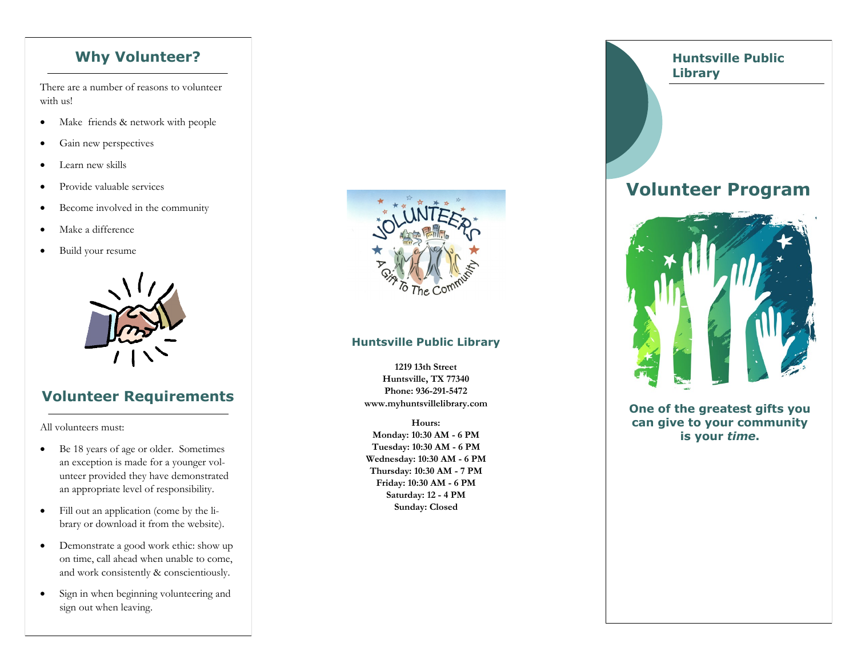There are a number of reasons to volunteer with us!

- Make friends & network with people
- Gain new perspectives
- Learn new skills
- Provide valuable services
- Become involved in the community
- Make a difference
- Build your resume



## **Volunteer Requirements**

All volunteers must:

- Be 18 years of age or older. Sometimes an exception is made for a younger volunteer provided they have demonstrated an appropriate level of responsibility.
- Fill out an application (come by the library or download it from the website).
- Demonstrate a good work ethic: show up on time, call ahead when unable to come, and work consistently & conscientiously.
- Sign in when beginning volunteering and sign out when leaving.



#### **Huntsville Public Library**

**1219 13th Street Huntsville, TX 77340 Phone: 936-291-5472 www.myhuntsvillelibrary.com**

**Hours: Monday: 10:30 AM - 6 PM Tuesday: 10:30 AM - 6 PM Wednesday: 10:30 AM - 6 PM Thursday: 10:30 AM - 7 PM Friday: 10:30 AM - 6 PM Saturday: 12 - 4 PM Sunday: Closed**